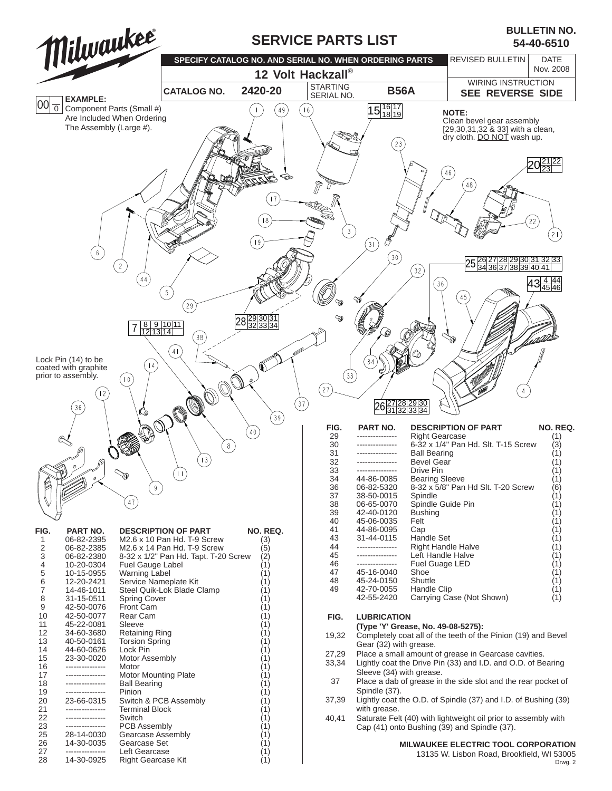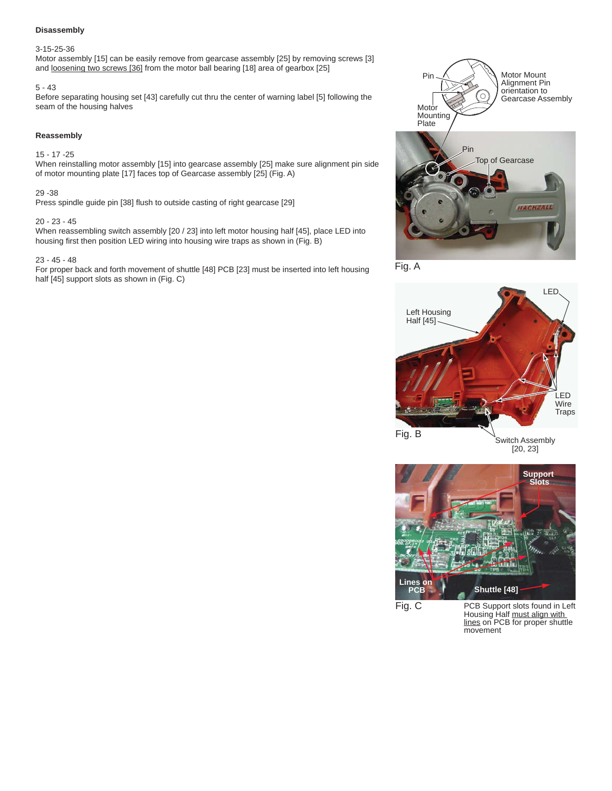## **Disassembly**

#### 3-15-25-36

Motor assembly [15] can be easily remove from gearcase assembly [25] by removing screws [3] and loosening two screws [36] from the motor ball bearing [18] area of gearbox [25]

#### 5 - 43

Before separating housing set [43] carefully cut thru the center of warning label [5] following the seam of the housing halves

### **Reassembly**

# 15 - 17 -25

When reinstalling motor assembly [15] into gearcase assembly [25] make sure alignment pin side of motor mounting plate [17] faces top of Gearcase assembly [25] (Fig. A)

## 29 -38

Press spindle guide pin [38] flush to outside casting of right gearcase [29]

#### 20 - 23 - 45

When reassembling switch assembly [20 / 23] into left motor housing half [45], place LED into housing first then position LED wiring into housing wire traps as shown in (Fig. B)

#### 23 - 45 - 48

For proper back and forth movement of shuttle [48] PCB [23] must be inserted into left housing half [45] support slots as shown in (Fig. C)